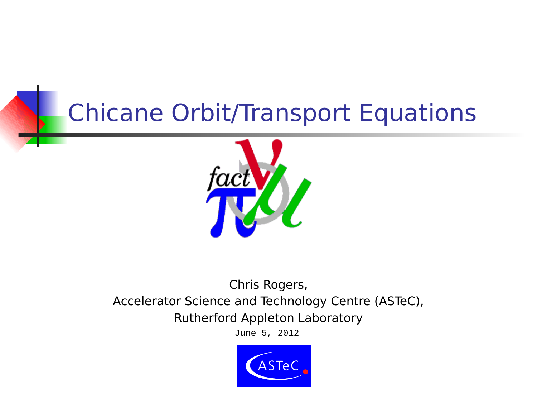## Chicane Orbit/Transport Equations



#### Chris Rogers, Accelerator Science and Technology Centre (ASTeC), Rutherford Appleton Laboratory

June 5, 2012

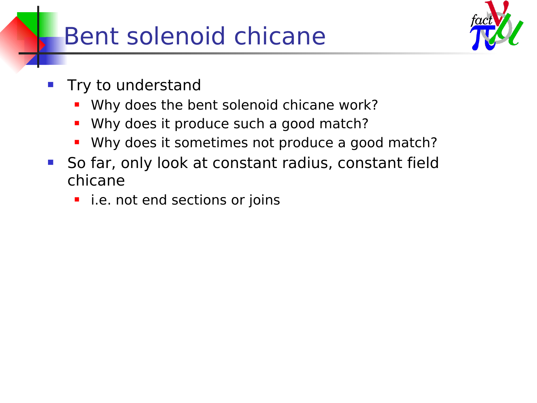## Bent solenoid chicane



- Try to understand
	- Why does the bent solenoid chicane work?
	- **Why does it produce such a good match?**
	- Why does it sometimes not produce a good match?
- **So far, only look at constant radius, constant field** chicane
	- **E** i.e. not end sections or joins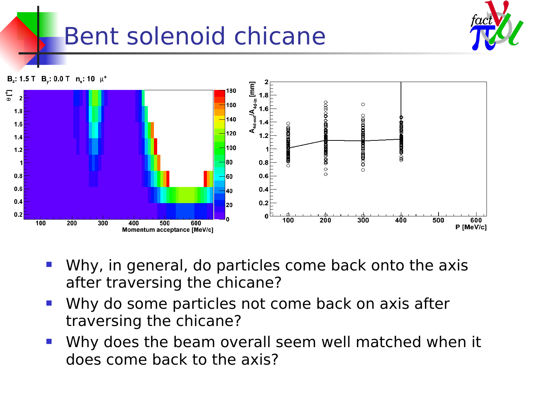# Bent solenoid chicane





- Why, in general, do particles come back onto the axis after traversing the chicane?
- Why do some particles not come back on axis after traversing the chicane?
- Why does the beam overall seem well matched when it does come back to the axis?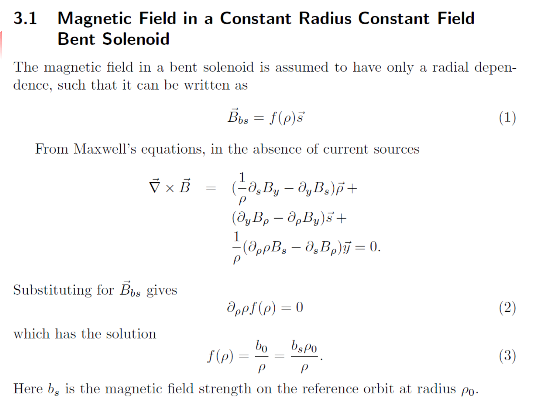#### Magnetic Field in a Constant Radius Constant Field<br>Bent Solenoid 3.1

The magnetic field in a bent solenoid is assumed to have only a radial dependence, such that it can be written as

$$
\vec{B}_{bs} = f(\rho)\vec{s} \tag{1}
$$

From Maxwell's equations, in the absence of current sources

$$
\vec{\nabla} \times \vec{B} = \left( \frac{1}{\rho} \partial_s B_y - \partial_y B_s \right) \vec{\rho} +
$$

$$
(\partial_y B_\rho - \partial_\rho B_y) \vec{s} +
$$

$$
\frac{1}{\rho} (\partial_\rho \rho B_s - \partial_s B_\rho) \vec{y} = 0.
$$

Substituting for  $\vec{B}_{bs}$  gives

$$
\partial_{\rho}\rho f(\rho) = 0 \tag{2}
$$

traversing the chicane?

$$
f(\rho) = \frac{b_0}{\rho} = \frac{b_s \rho_0}{\rho}.
$$
 (3)

Here  $b_s$  is the magnetic field strength on the reference orbit at radius  $\rho_0$ .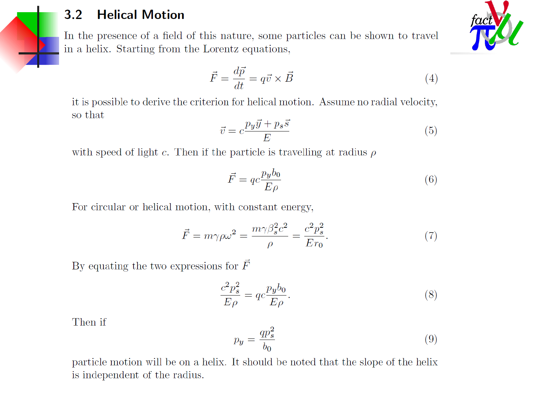#### **Helical Motion**  $3.2$

In the presence of a field of this nature, some particles can be shown to travel in a helix. Starting from the Lorentz equations,

$$
\vec{F} = \frac{d\vec{p}}{dt} = q\vec{v} \times \vec{B} \tag{4}
$$

it is possible to derive the criterion for helical motion. Assume no radial velocity, so that

$$
\vec{v} = c \frac{p_y \vec{y} + p_s \vec{s}}{E}
$$
 (5)

with speed of light c. Then if the particle is travelling at radius  $\rho$ 

$$
\vec{F} = qc \frac{pyb_0}{E\rho} \tag{6}
$$

For circular or helical motion, with constant energy,

$$
\vec{F} = m\gamma \rho \omega^2 = \frac{m\gamma \beta_s^2 c^2}{\rho} = \frac{c^2 p_s^2}{E r_0}.
$$
\n<sup>(7)</sup>

By equating the two expressions for  $\vec{F}$ 

$$
\frac{c^2 p_s^2}{E \rho} = q c \frac{p_y b_0}{E \rho}.
$$
\n
$$
(8)
$$

Then if

$$
p_y = \frac{qp_s^2}{b_0} \tag{9}
$$

particle motion will be on a helix. It should be noted that the slope of the helix is independent of the radius.

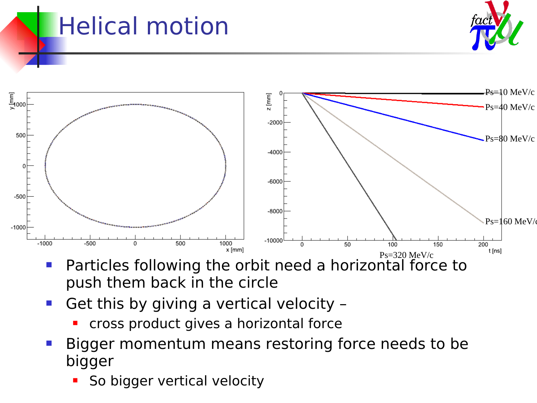# Helical motion





- **Particles following the orbit need a horizontal force to** push them back in the circle
- Get this by giving a vertical velocity
	- cross product gives a horizontal force
- Bigger momentum means restoring force needs to be bigger
	- So bigger vertical velocity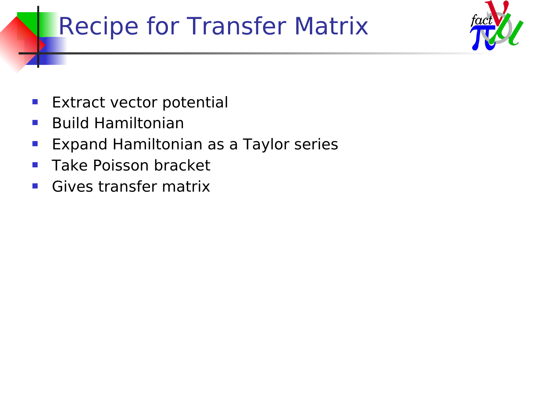## Recipe for Transfer Matrix



- **Extract vector potential**
- **Build Hamiltonian**
- **Expand Hamiltonian as a Taylor series**
- **Take Poisson bracket**
- **Gives transfer matrix**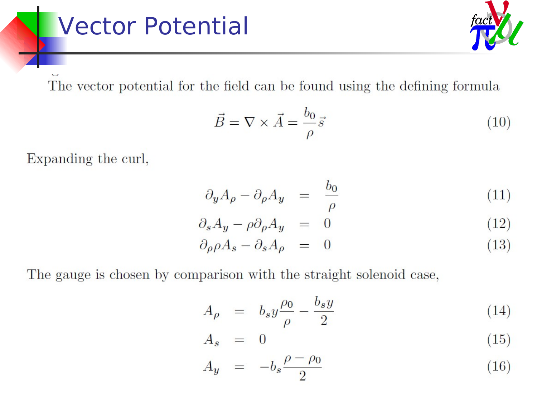#### **Vector Potential**

The vector potential for the field can be found using the defining formula

$$
\vec{B} = \nabla \times \vec{A} = \frac{b_0}{\rho} \vec{s}
$$
 (10)

Expanding the curl,

$$
\partial_y A_\rho - \partial_\rho A_y = \frac{b_0}{\rho} \tag{11}
$$

$$
\partial_s A_y - \rho \partial_\rho A_y = 0 \tag{12}
$$

$$
\partial_{\rho}\rho A_{s} - \partial_{s}A_{\rho} = 0 \tag{13}
$$

The gauge is chosen by comparison with the straight solenoid case,

$$
A_{\rho} = b_s y \frac{\rho_0}{\rho} - \frac{b_s y}{2} \tag{14}
$$

$$
A_s = 0 \tag{15}
$$

$$
A_y = -b_s \frac{\rho - \rho_0}{2} \tag{16}
$$

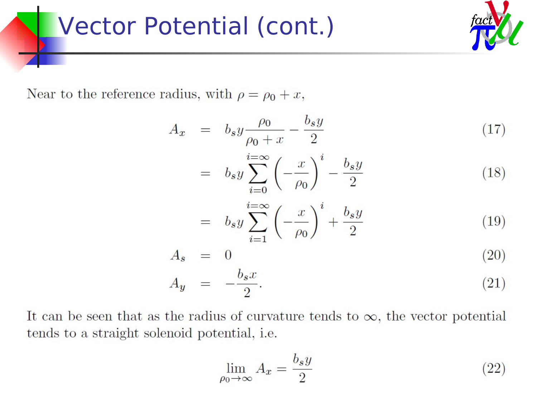#### **Vector Potential (cont.)**



Near to the reference radius, with  $\rho = \rho_0 + x$ ,

$$
A_x = b_s y \frac{\rho_0}{\rho_0 + x} - \frac{b_s y}{2} \tag{17}
$$

$$
= b_s y \sum_{i=0}^{i=\infty} \left(-\frac{x}{\rho_0}\right)^i - \frac{b_s y}{2}
$$
\n(18)

$$
= b_s y \sum_{i=1}^{i=\infty} \left(-\frac{x}{\rho_0}\right)^i + \frac{b_s y}{2}
$$
\n(19)

$$
A_s = 0 \tag{20}
$$

$$
A_y = -\frac{b_s x}{2}.\tag{21}
$$

It can be seen that as the radius of curvature tends to  $\infty$ , the vector potential tends to a straight solenoid potential, i.e.

$$
\lim_{\rho_0 \to \infty} A_x = \frac{b_s y}{2} \tag{22}
$$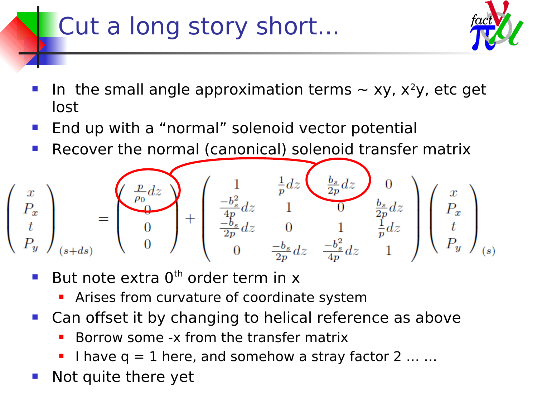## Cut a long story short...



- In the small angle approximation terms  $\sim$  xy, x<sup>2</sup>y, etc get lost
- End up with a "normal" solenoid vector potential
- Recover the normal (canonical) solenoid transfer matrix



- But note extra  $0<sup>th</sup>$  order term in x
	- **Arises from curvature of coordinate system**
- **Can offset it by changing to helical reference as above** 
	- Borrow some -x from the transfer matrix
	- I have  $q = 1$  here, and somehow a stray factor 2 ... ...
- Not quite there yet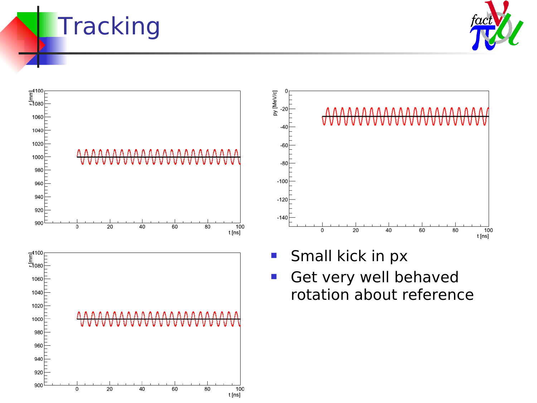#### **Tracking**







- **Small kick in px**
- **Get very well behaved** rotation about reference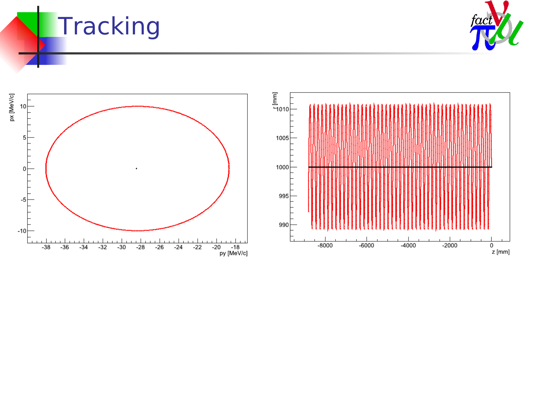